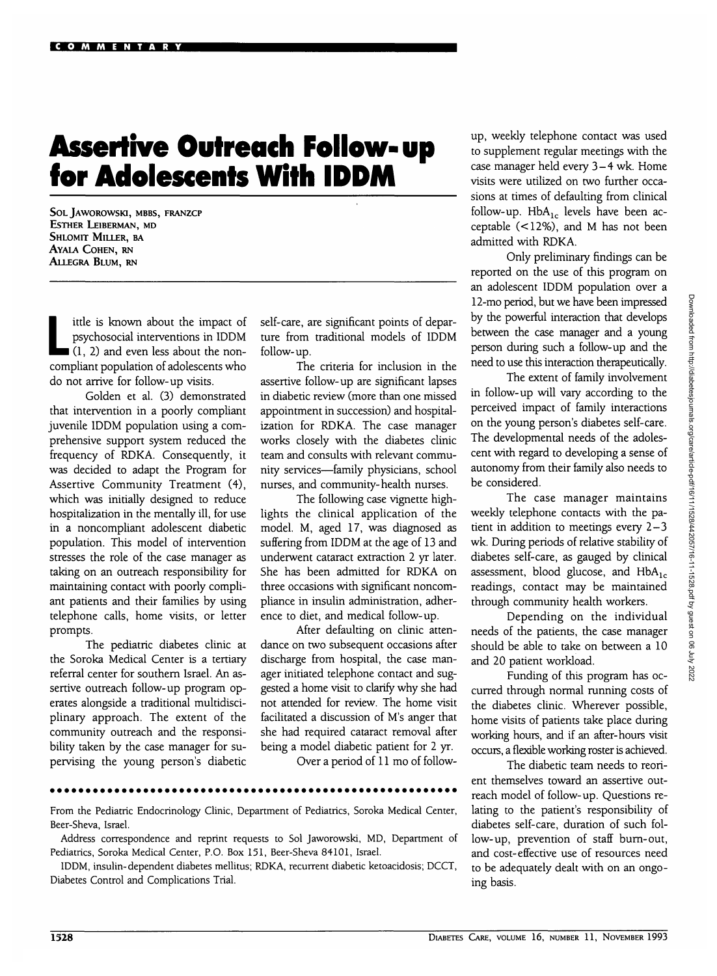## **Assertive Outreach Follow- up for Adolescents With IDDM**

**SOLJAWOROWSKI, MBBS, FRANZCP ESTHER LEIBERMAN, MD SHLOMIT MILLER, BA AYALA COHEN, RN ALLEGRA BLUM, RN**

ittle is known about the impact of<br>psychosocial interventions in IDDM<br>(1, 2) and even less about the nonpsychosocial interventions in 1DDM  $(1, 2)$  and even less about the noncompliant population of adolescents who do not arrive for follow-up visits.

Golden et al. (3) demonstrated that intervention in a poorly compliant juvenile 1DDM population using a comprehensive support system reduced the frequency of RDKA. Consequently, it was decided to adapt the Program for Assertive Community Treatment (4), which was initially designed to reduce hospitalization in the mentally ill, for use in a noncompliant adolescent diabetic population. This model of intervention stresses the role of the case manager as taking on an outreach responsibility for maintaining contact with poorly compliant patients and their families by using telephone calls, home visits, or letter prompts.

The pediatric diabetes clinic at the Soroka Medical Center is a tertiary referral center for southern Israel. An assertive outreach follow-up program operates alongside a traditional multidisciplinary approach. The extent of the community outreach and the responsibility taken by the case manager for supervising the young person's diabetic self-care, are significant points of departure from traditional models of IDDM follow-up.

The criteria for inclusion in the assertive follow-up are significant lapses in diabetic review (more than one missed appointment in succession) and hospitalization for RDKA. The case manager works closely with the diabetes clinic team and consults with relevant community services—family physicians, school nurses, and community-health nurses.

The following case vignette highlights the clinical application of the model. M, aged 17, was diagnosed as suffering from IDDM at the age of 13 and underwent cataract extraction 2 yr later. She has been admitted for RDKA on three occasions with significant noncompliance in insulin administration, adherence to diet, and medical follow-up.

After defaulting on clinic attendance on two subsequent occasions after discharge from hospital, the case manager initiated telephone contact and suggested a home visit to clarify why she had not attended for review. The home visit facilitated a discussion of M's anger that she had required cataract removal after being a model diabetic patient for 2 yr.

Over a period of 11 mo of follow-

From the Pediatric Endocrinology Clinic, Department of Pediatrics, Soroka Medical Center, Beer-Sheva, Israel.

Address correspondence and reprint requests to Sol Jaworowski, MD, Department of Pediatrics, Soroka Medical Center, P.O. Box 151, Beer-Sheva 84101, Israel.

IDDM, insulin-dependent diabetes mellitus; RDKA, recurrent diabetic ketoacidosis; DCCT, Diabetes Control and Complications Trial.

up, weekly telephone contact was used to supplement regular meetings with the case manager held every 3-4 wk. Home visits were utilized on two further occasions at times of defaulting from clinical follow-up.  $HbA_{1c}$  levels have been acceptable (<12%), and M has not been admitted with RDKA.

Only preliminary findings can be reported on the use of this program on an adolescent IDDM population over a 12-mo period, but we have been impressed by the powerful interaction that develops between the case manager and a young person during such a follow-up and the need to use this interaction therapeutically.

The extent of family involvement in follow-up will vary according to the perceived impact of family interactions on the young person's diabetes self-care. The developmental needs of the adolescent with regard to developing a sense of autonomy from their family also needs to be considered.

The case manager maintains weekly telephone contacts with the patient in addition to meetings every 2-3 wk. During periods of relative stability of diabetes self-care, as gauged by clinical assessment, blood glucose, and  $HbA_{1c}$ readings, contact may be maintained through community health workers.

Depending on the individual needs of the patients, the case manager should be able to take on between a 10 and 20 patient workload.

Funding of this program has occurred through normal running costs of the diabetes clinic. Wherever possible, home visits of patients take place during working hours, and if an after-hours visit occurs, a flexible working roster is achieved.

The diabetic team needs to reorient themselves toward an assertive outreach model of follow-up. Questions relating to the patient's responsibility of diabetes self-care, duration of such follow-up, prevention of staff burn-out, and cost-effective use of resources need to be adequately dealt with on an ongoing basis.